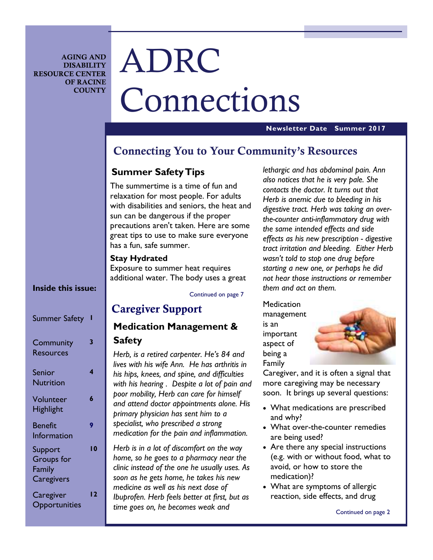**AGING AND DISABILITY RESOURCE CENTER OF RACINE COUNTY** 

# ADRC Connections

#### **Newsletter Date Summer 2017**

### **Connecting You to Your Community's Resources**

### **Summer Safety Tips**

The summertime is a time of fun and relaxation for most people. For adults with disabilities and seniors, the heat and sun can be dangerous if the proper precautions aren't taken. Here are some great tips to use to make sure everyone has a fun, safe summer.

#### **Stay Hydrated**

Exposure to summer heat requires additional water. The body uses a great

#### Continued on page 7

### **Caregiver Support**

### **Medication Management &**

#### **Safety**

*Herb, is a retired carpenter. He's 84 and lives with his wife Ann. He has arthritis in his hips, knees, and spine, and difficulties with his hearing . Despite a lot of pain and poor mobility, Herb can care for himself and attend doctor appointments alone. His primary physician has sent him to a specialist, who prescribed a strong medication for the pain and inflammation.* 

*Herb is in a lot of discomfort on the way home, so he goes to a pharmacy near the clinic instead of the one he usually uses. As soon as he gets home, he takes his new medicine as well as his next dose of Ibuprofen. Herb feels better at first, but as time goes on, he becomes weak and* 

*lethargic and has abdominal pain. Ann also notices that he is very pale. She contacts the doctor. It turns out that Herb is anemic due to bleeding in his digestive tract. Herb was taking an overthe-counter anti-inflammatory drug with the same intended effects and side effects as his new prescription - digestive tract irritation and bleeding. Either Herb wasn't told to stop one drug before starting a new one, or perhaps he did not hear those instructions or remember them and act on them.* 

**Medication** management is an important aspect of being a Family



Caregiver, and it is often a signal that more caregiving may be necessary soon. It brings up several questions:

- What medications are prescribed and why?
- What over-the-counter remedies are being used?
- Are there any special instructions (e.g. with or without food, what to avoid, or how to store the medication)?
- What are symptoms of allergic reaction, side effects, and drug

#### Continued on page 2

### **Inside this issue:**

| <b>Summer Safety</b>                                 |    |
|------------------------------------------------------|----|
| Community<br><b>Resources</b>                        | 3  |
| Senior<br><b>Nutrition</b>                           | 4  |
| Volunteer<br><b>Highlight</b>                        | 6  |
| <b>Benefit</b><br>Information                        | 9  |
| Support<br><b>Groups</b> for<br>Family<br>Caregivers | ۱0 |
| Caregiver<br>Opportunities                           | 12 |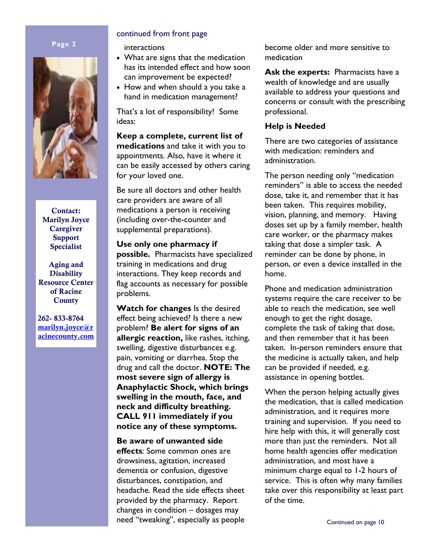#### **Page 2**



**Contact: Marilyn Joyce Caregiver Support Specialist** 

**Aging and Disability Resource Center of Racine County** 

**262- 833-8764 marilyn.joyce@r acinecounty.com**

#### continued from front page

interactions

- What are signs that the medication has its intended effect and how soon can improvement be expected?
- How and when should a you take a hand in medication management?

That's a lot of responsibility! Some ideas:

**Keep a complete, current list of medications** and take it with you to appointments. Also, have it where it can be easily accessed by others caring for your loved one.

Be sure all doctors and other health care providers are aware of all medications a person is receiving (including over-the-counter and supplemental preparations).

**Use only one pharmacy if possible.** Pharmacists have specialized training in medications and drug interactions. They keep records and flag accounts as necessary for possible problems.

**Watch for changes** Is the desired effect being achieved? Is there a new problem? **Be alert for signs of an allergic reaction,** like rashes, itching, swelling, digestive disturbances e.g. pain, vomiting or diarrhea. Stop the drug and call the doctor. **NOTE: The most severe sign of allergy is Anaphylactic Shock, which brings swelling in the mouth, face, and neck and difficulty breathing. CALL 911 immediately if you notice any of these symptoms.** 

**Be aware of unwanted side effects**: Some common ones are drowsiness, agitation, increased dementia or confusion, digestive disturbances, constipation, and headache. Read the side effects sheet provided by the pharmacy. Report changes in condition – dosages may need "tweaking", especially as people become older and more sensitive to medication

**Ask the experts:** Pharmacists have a wealth of knowledge and are usually available to address your questions and concerns or consult with the prescribing professional.

#### **Help is Needed**

There are two categories of assistance with medication: reminders and administration.

The person needing only "medication reminders" is able to access the needed dose, take it, and remember that it has been taken. This requires mobility, vision, planning, and memory. Having doses set up by a family member, health care worker, or the pharmacy makes taking that dose a simpler task. A reminder can be done by phone, in person, or even a device installed in the home.

Phone and medication administration systems require the care receiver to be able to reach the medication, see well enough to get the right dosage, complete the task of taking that dose, and then remember that it has been taken. In-person reminders ensure that the medicine is actually taken, and help can be provided if needed, e.g. assistance in opening bottles.

When the person helping actually gives the medication, that is called medication administration, and it requires more training and supervision. If you need to hire help with this, it will generally cost more than just the reminders. Not all home health agencies offer medication administration, and most have a minimum charge equal to 1-2 hours of service. This is often why many families take over this responsibility at least part of the time.

Continued on page 10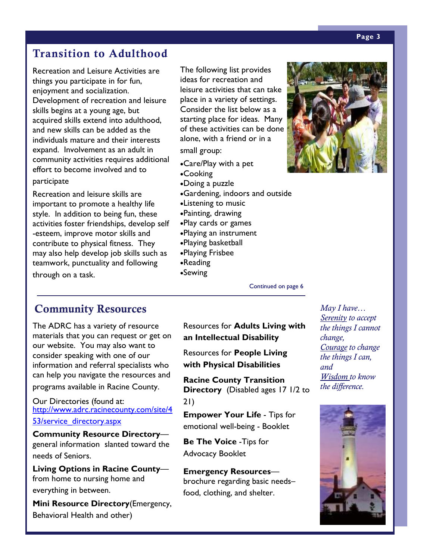# **Transition to Adulthood**

Recreation and Leisure Activities are things you participate in for fun, enjoyment and socialization. Development of recreation and leisure skills begins at a young age, but acquired skills extend into adulthood, and new skills can be added as the individuals mature and their interests expand. Involvement as an adult in community activities requires additional effort to become involved and to participate

Recreation and leisure skills are important to promote a healthy life style. In addition to being fun, these activities foster friendships, develop self -esteem, improve motor skills and contribute to physical fitness. They may also help develop job skills such as teamwork, punctuality and following through on a task.

The following list provides ideas for recreation and leisure activities that can take place in a variety of settings. Consider the list below as a starting place for ideas. Many of these activities can be done alone, with a friend or in a small group:

- •Care/Play with a pet
- •Cooking
- •Doing a puzzle
- •Gardening, indoors and outside
- •Listening to music
- •Painting, drawing
- •Play cards or games
- •Playing an instrument
- •Playing basketball
- •Playing Frisbee
- •Reading
- •Sewing

### **Community Resources**

The ADRC has a variety of resource materials that you can request or get on our website. You may also want to consider speaking with one of our information and referral specialists who can help you navigate the resources and programs available in Racine County.

Our Directories (found at: http://www.adrc.racinecounty.com/site/4 53/service directory.aspx

**Community Resource Directory** general information slanted toward the needs of Seniors.

**Living Options in Racine County** from home to nursing home and everything in between.

**Mini Resource Directory**(Emergency, Behavioral Health and other)

Resources for **Adults Living with an Intellectual Disability** 

Continued on page 6

Resources for **People Living with Physical Disabilities** 

**Racine County Transition Directory** (Disabled ages 17 1/2 to 21)

**Empower Your Life** - Tips for emotional well-being - Booklet

**Be The Voice** -Tips for Advocacy Booklet

**Emergency Resources** brochure regarding basic needs– food, clothing, and shelter.

*May I have… Serenity to accept the things I cannot change, Courage to change the things I can, and Wisdom to know the difference.* 



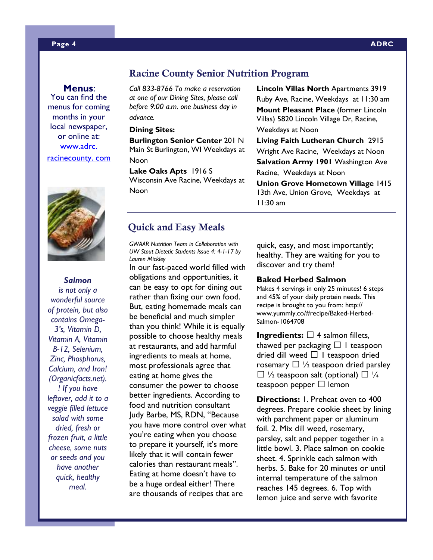#### **Menus**:

You can find the menus for coming months in your local newspaper, or online at: www.adrc. racinecounty. com



*Salmon is not only a wonderful source of protein, but also contains Omega-3's, Vitamin D, Vitamin A, Vitamin B-12, Selenium, Zinc, Phosphorus, Calcium, and Iron! (Organicfacts.net). ! If you have leftover, add it to a veggie filled lettuce salad with some dried, fresh or frozen fruit, a little cheese, some nuts or seeds and you have another quick, healthy meal.* 

#### **Racine County Senior Nutrition Program**

*Call 833-8766 To make a reservation at one of our Dining Sites, please call before 9:00 a.m. one business day in advance.* 

#### **Dining Sites:**

**Burlington Senior Center** 201 N Main St Burlington, WI Weekdays at Noon

**Lake Oaks Apts** 1916 S Wisconsin Ave Racine, Weekdays at Noon

**Lincoln Villas North** Apartments 3919 Ruby Ave, Racine, Weekdays at 11:30 am **Mount Pleasant Place** (former Lincoln Villas) 5820 Lincoln Village Dr, Racine, Weekdays at Noon **Living Faith Lutheran Church** 2915 Wright Ave Racine, Weekdays at Noon

**Salvation Army 1901** Washington Ave Racine, Weekdays at Noon

**Union Grove Hometown Village** 1415 13th Ave, Union Grove, Weekdays at 11:30 am

### **Quick and Easy Meals**

*GWAAR Nutrition Team in Collaboration with UW Stout Dietetic Students Issue 4: 4-1-17 by Lauren Mickley* 

In our fast-paced world filled with obligations and opportunities, it can be easy to opt for dining out rather than fixing our own food. But, eating homemade meals can be beneficial and much simpler than you think! While it is equally possible to choose healthy meals at restaurants, and add harmful ingredients to meals at home, most professionals agree that eating at home gives the consumer the power to choose better ingredients. According to food and nutrition consultant Judy Barbe, MS, RDN, "Because you have more control over what you're eating when you choose to prepare it yourself, it's more likely that it will contain fewer calories than restaurant meals". Eating at home doesn't have to be a huge ordeal either! There are thousands of recipes that are

quick, easy, and most importantly; healthy. They are waiting for you to discover and try them!

#### **Baked Herbed Salmon**

Makes 4 servings in only 25 minutes! 6 steps and 45% of your daily protein needs. This recipe is brought to you from: http:// www.yummly.co/#recipe/Baked-Herbed-Salmon-1064708

**Ingredients: N 4 salmon fillets,** thawed per packaging N 1 teaspoon dried dill weed N 1 teaspoon dried rosemary  $N \frac{1}{2}$  teaspoon dried parsley N  $\frac{1}{2}$  teaspoon salt (optional) N  $\frac{1}{4}$ teaspoon pepper N lemon

**Directions:** 1. Preheat oven to 400 degrees. Prepare cookie sheet by lining with parchment paper or aluminum foil. 2. Mix dill weed, rosemary, parsley, salt and pepper together in a little bowl. 3. Place salmon on cookie sheet. 4. Sprinkle each salmon with herbs. 5. Bake for 20 minutes or until internal temperature of the salmon reaches 145 degrees. 6. Top with lemon juice and serve with favorite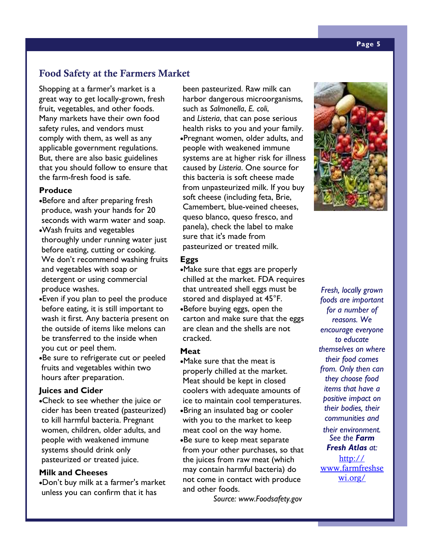### **Food Safety at the Farmers Market**

Shopping at a farmer's market is a great way to get locally-grown, fresh fruit, vegetables, and other foods. Many markets have their own food safety rules, and vendors must comply with them, as well as any applicable government regulations. But, there are also basic guidelines that you should follow to ensure that the farm-fresh food is safe.

#### **Produce**

- •Before and after preparing fresh produce, wash your hands for 20 seconds with warm water and soap. •Wash fruits and vegetables thoroughly under running water just before eating, cutting or cooking. We don't recommend washing fruits and vegetables with soap or detergent or using commercial produce washes.
- •Even if you plan to peel the produce before eating, it is still important to wash it first. Any bacteria present on the outside of items like melons can be transferred to the inside when you cut or peel them.
- •Be sure to refrigerate cut or peeled fruits and vegetables within two hours after preparation.

#### **Juices and Cider**

•Check to see whether the juice or cider has been treated (pasteurized) to kill harmful bacteria. Pregnant women, children, older adults, and people with weakened immune systems should drink only pasteurized or treated juice.

#### **Milk and Cheeses**

•Don't buy milk at a farmer's market unless you can confirm that it has

been pasteurized. Raw milk can harbor dangerous microorganisms, such as *Salmonella*, *E. coli*, and *Listeria*, that can pose serious health risks to you and your family. •Pregnant women, older adults, and people with weakened immune systems are at higher risk for illness caused by *Listeria*. One source for this bacteria is soft cheese made from unpasteurized milk. If you buy soft cheese (including feta, Brie, Camembert, blue-veined cheeses, queso blanco, queso fresco, and panela), check the label to make sure that it's made from pasteurized or treated milk.

#### **Eggs**

•Make sure that eggs are properly chilled at the market. FDA requires that untreated shell eggs must be stored and displayed at 45°F. •Before buying eggs, open the carton and make sure that the eggs are clean and the shells are not cracked.

#### **Meat**

•Make sure that the meat is properly chilled at the market. Meat should be kept in closed coolers with adequate amounts of ice to maintain cool temperatures. •Bring an insulated bag or cooler with you to the market to keep meat cool on the way home. •Be sure to keep meat separate from your other purchases, so that the juices from raw meat (which may contain harmful bacteria) do not come in contact with produce and other foods.

 *Source: www.Foodsafety.gov* 



*Fresh, locally grown foods are important for a number of reasons. We encourage everyone to educate themselves on where their food comes from. Only then can they choose food items that have a positive impact on their bodies, their communities and* 

*their environment. See the Farm Fresh Atlas at:* 

http:// www.farmfreshse wi.org/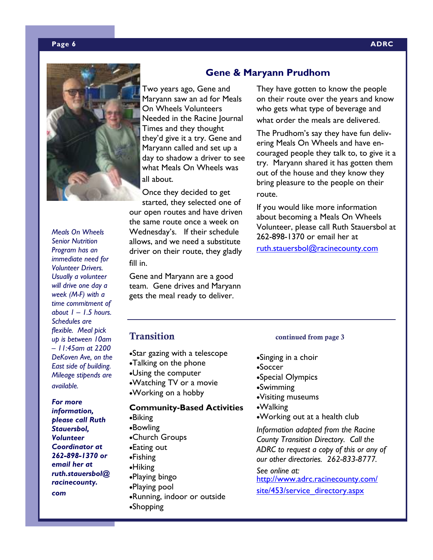### **Gene & Maryann Prudhom**

route.

They have gotten to know the people on their route over the years and know who gets what type of beverage and what order the meals are delivered.

The Prudhom's say they have fun delivering Meals On Wheels and have encouraged people they talk to, to give it a try. Maryann shared it has gotten them out of the house and they know they bring pleasure to the people on their

If you would like more information about becoming a Meals On Wheels Volunteer, please call Ruth Stauersbol at

ruth.stauersbol@racinecounty.com

262-898-1370 or email her at

Two years ago, Gene and Maryann saw an ad for Meals On Wheels Volunteers Needed in the Racine Journal Times and they thought they'd give it a try. Gene and Maryann called and set up a day to shadow a driver to see what Meals On Wheels was all about.

Once they decided to get started, they selected one of our open routes and have driven the same route once a week on Wednesday's. If their schedule allows, and we need a substitute driver on their route, they gladly fill in.

Gene and Maryann are a good team. Gene drives and Maryann gets the meal ready to deliver.

•Star gazing with a telescope •Talking on the phone •Using the computer •Watching TV or a movie •Working on a hobby

# **Community-Based Activities**

•Biking •Bowling •Church Groups •Eating out •Fishing •Hiking •Playing bingo •Playing pool •Running, indoor or outside •Shopping

### **Transition** *continued from page 3*

•Singing in a choir •Soccer •Special Olympics •Swimming •Visiting museums •Walking •Working out at a health club *Information adapted from the Racine County Transition Directory. Call the ADRC to request a copy of this or any of our other directories. 262-833-8777.* 

*See online at:*  http://www.adrc.racinecounty.com/

site/453/service directory.aspx

*Meals On Wheels Senior Nutrition Program has an immediate need for Volunteer Drivers. Usually a volunteer will drive one day a week (M-F) with a time commitment of about 1 – 1.5 hours. Schedules are flexible. Meal pick up is between 10am – 11:45am at 2200 DeKoven Ave, on the East side of building. Mileage stipends are available.* 

*For more information, please call Ruth Stauersbol, Volunteer Coordinator at 262-898-1370 or email her at ruth.stauersbol@ racinecounty.* 

*com* 



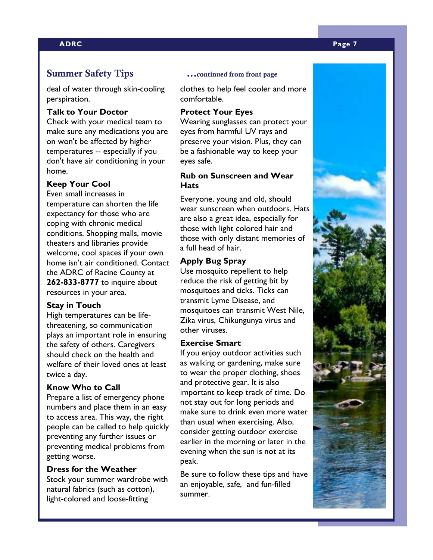#### **ADRC Page 7**

#### **Summer Safety Tips ...continued from front page**

deal of water through skin-cooling perspiration.

#### **Talk to Your Doctor**

Check with your medical team to make sure any medications you are on won't be affected by higher temperatures -- especially if you don't have air conditioning in your home.

#### **Keep Your Cool**

Even small increases in temperature can shorten the life expectancy for those who are coping with chronic medical conditions. Shopping malls, movie theaters and libraries provide welcome, cool spaces if your own home isn't air conditioned. Contact the ADRC of Racine County at **262-833-8777** to inquire about resources in your area.

#### **Stay in Touch**

High temperatures can be lifethreatening, so communication plays an important role in ensuring the safety of others. Caregivers should check on the health and welfare of their loved ones at least twice a day.

#### **Know Who to Call**

Prepare a list of emergency phone numbers and place them in an easy to access area. This way, the right people can be called to help quickly preventing any further issues or preventing medical problems from getting worse.

#### **Dress for the Weather**

Stock your summer wardrobe with natural fabrics (such as cotton), light-colored and loose-fitting

clothes to help feel cooler and more comfortable.

#### **Protect Your Eyes**

Wearing sunglasses can protect your eyes from harmful UV rays and preserve your vision. Plus, they can be a fashionable way to keep your eyes safe.

#### **Rub on Sunscreen and Wear Hats**

Everyone, young and old, should wear sunscreen when outdoors. Hats are also a great idea, especially for those with light colored hair and those with only distant memories of a full head of hair.

#### **Apply Bug Spray**

Use mosquito repellent to help reduce the risk of getting bit by mosquitoes and ticks. Ticks can transmit Lyme Disease, and mosquitoes can transmit West Nile, Zika virus, Chikungunya virus and other viruses.

#### **Exercise Smart**

If you enjoy outdoor activities such as walking or gardening, make sure to wear the proper clothing, shoes and protective gear. It is also important to keep track of time. Do not stay out for long periods and make sure to drink even more water than usual when exercising. Also, consider getting outdoor exercise earlier in the morning or later in the evening when the sun is not at its peak.

Be sure to follow these tips and have an enjoyable, safe, and fun-filled summer.

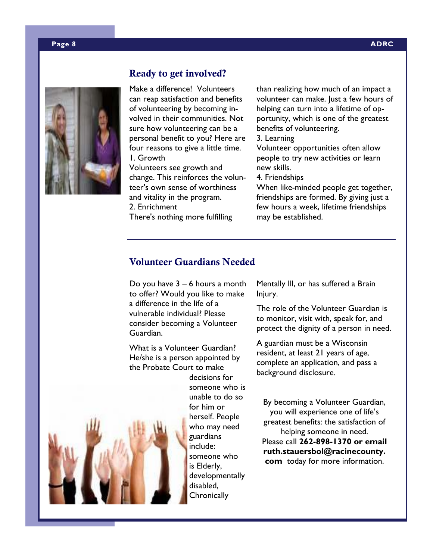

### **Ready to get involved?**

Make a difference! Volunteers can reap satisfaction and benefits of volunteering by becoming involved in their communities. Not sure how volunteering can be a personal benefit to you? Here are four reasons to give a little time. 1. Growth

Volunteers see growth and change. This reinforces the volunteer's own sense of worthiness and vitality in the program. 2. Enrichment There's nothing more fulfilling

than realizing how much of an impact a volunteer can make. Just a few hours of helping can turn into a lifetime of opportunity, which is one of the greatest benefits of volunteering.

3. Learning

Volunteer opportunities often allow people to try new activities or learn new skills.

4. Friendships

When like-minded people get together, friendships are formed. By giving just a few hours a week, lifetime friendships may be established.

### **Volunteer Guardians Needed**

Do you have 3 – 6 hours a month to offer? Would you like to make a difference in the life of a vulnerable individual? Please consider becoming a Volunteer Guardian.

What is a Volunteer Guardian? He/she is a person appointed by the Probate Court to make



decisions for someone who is unable to do so for him or herself. People who may need guardians include: someone who is Elderly, developmentally disabled, **Chronically** 

Mentally Ill, or has suffered a Brain Injury.

The role of the Volunteer Guardian is to monitor, visit with, speak for, and protect the dignity of a person in need.

A guardian must be a Wisconsin resident, at least 21 years of age, complete an application, and pass a background disclosure.

By becoming a Volunteer Guardian, you will experience one of life's greatest benefits: the satisfaction of helping someone in need. Please call **262-898-1370 or email ruth.stauersbol@racinecounty. com** today for more information.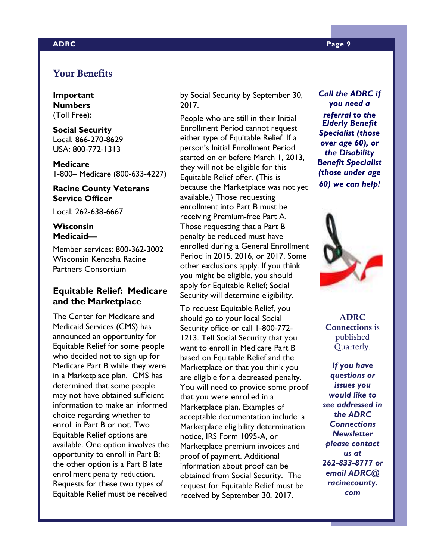#### **ADRC Page 9**

#### **Your Benefits**

**Important Numbers**  (Toll Free):

**Social Security**  Local: 866-270-8629 USA: 800-772-1313

**Medicare**  1-800– Medicare (800-633-4227)

#### **Racine County Veterans Service Officer**

Local: 262-638-6667

#### **Wisconsin Medicaid—**

Member services: 800-362-3002 Wisconsin Kenosha Racine Partners Consortium

#### **Equitable Relief: Medicare and the Marketplace**

The Center for Medicare and Medicaid Services (CMS) has announced an opportunity for Equitable Relief for some people who decided not to sign up for Medicare Part B while they were in a Marketplace plan. CMS has determined that some people may not have obtained sufficient information to make an informed choice regarding whether to enroll in Part B or not. Two Equitable Relief options are available. One option involves the opportunity to enroll in Part B; the other option is a Part B late enrollment penalty reduction. Requests for these two types of Equitable Relief must be received

by Social Security by September 30, 2017.

People who are still in their Initial Enrollment Period cannot request either type of Equitable Relief. If a person's Initial Enrollment Period started on or before March 1, 2013, they will not be eligible for this Equitable Relief offer. (This is because the Marketplace was not yet available.) Those requesting enrollment into Part B must be receiving Premium-free Part A. Those requesting that a Part B penalty be reduced must have enrolled during a General Enrollment Period in 2015, 2016, or 2017. Some other exclusions apply. If you think you might be eligible, you should apply for Equitable Relief; Social Security will determine eligibility.

To request Equitable Relief, you should go to your local Social Security office or call 1-800-772- 1213. Tell Social Security that you want to enroll in Medicare Part B based on Equitable Relief and the Marketplace or that you think you are eligible for a decreased penalty. You will need to provide some proof that you were enrolled in a Marketplace plan. Examples of acceptable documentation include: a Marketplace eligibility determination notice, IRS Form 1095-A, or Marketplace premium invoices and proof of payment. Additional information about proof can be obtained from Social Security. The request for Equitable Relief must be received by September 30, 2017.

*Call the ADRC if you need a referral to the Elderly Benefit Specialist (those over age 60), or the Disability Benefit Specialist (those under age 60) we can help!* 



**ADRC Connections** is published Quarterly.

*If you have questions or issues you would like to see addressed in the ADRC Connections Newsletter please contact us at 262-833-8777 or email ADRC@ racinecounty. com*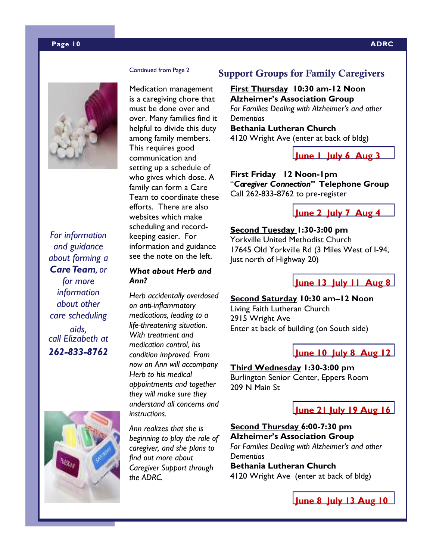#### **Page 10 ADRC**

Medication management is a caregiving chore that must be done over and over. Many families find it helpful to divide this duty among family members. This requires good communication and setting up a schedule of who gives which dose. A family can form a Care Team to coordinate these efforts. There are also websites which make scheduling and recordkeeping easier. For information and guidance see the note on the left.

#### *What about Herb and Ann?*

*Herb accidentally overdosed on anti-inflammatory medications, leading to a life-threatening situation. With treatment and medication control, his condition improved. From now on Ann will accompany Herb to his medical appointments and together they will make sure they understand all concerns and instructions.* 

*Ann realizes that she is beginning to play the role of caregiver, and she plans to find out more about Caregiver Support through the ADRC.* 

### **Support Groups for Family Caregivers**

**First Thursday 10:30 am-12 Noon Alzheimer's Association Group**  *For Families Dealing with Alzheimer's and other Dementias*  **Bethania Lutheran Church**

4120 Wright Ave (enter at back of bldg)

**June 1 July 6 Aug 3** 

**First Friday 12 Noon-1pm**  "*Caregiver Connection"* **Telephone Group**  Call 262-833-8762 to pre-register

**June 2 July 7 Aug 4** 

#### **Second Tuesday 1:30-3:00 pm**

Yorkville United Methodist Church 17645 Old Yorkville Rd (3 Miles West of I-94, Just north of Highway 20)

### **June 13 July 11 Aug 8**

#### **Second Saturday 10:30 am–12 Noon**

Living Faith Lutheran Church 2915 Wright Ave Enter at back of building (on South side)

### **June 10 July 8 Aug 12**

### **Third Wednesday 1:30-3:00 pm**

Burlington Senior Center, Eppers Room 209 N Main St

## **June 21 July 19 Aug 16**

### **Second Thursday 6:00-7:30 pm Alzheimer's Association Group**

*For Families Dealing with Alzheimer's and other Dementias* 

**Bethania Lutheran Church**  4120 Wright Ave (enter at back of bldg)

**June 8 July 13 Aug 10** 

*For information and guidance about forming a Care Team, or for more information about other care scheduling aids, call Elizabeth at 262-833-8762* 

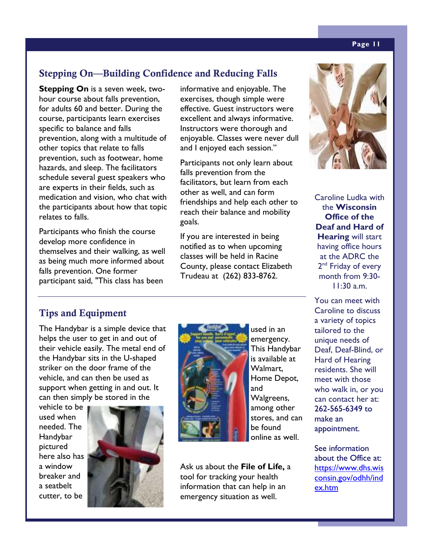### **Stepping On—Building Confidence and Reducing Falls**

**Stepping On** is a seven week, twohour course about falls prevention, for adults 60 and better. During the course, participants learn exercises specific to balance and falls prevention, along with a multitude of other topics that relate to falls prevention, such as footwear, home hazards, and sleep. The facilitators schedule several guest speakers who are experts in their fields, such as medication and vision, who chat with the participants about how that topic relates to falls.

Participants who finish the course develop more confidence in themselves and their walking, as well as being much more informed about falls prevention. One former participant said, "This class has been

informative and enjoyable. The exercises, though simple were effective. Guest instructors were excellent and always informative. Instructors were thorough and enjoyable. Classes were never dull and I enjoyed each session."

Participants not only learn about falls prevention from the facilitators, but learn from each other as well, and can form friendships and help each other to reach their balance and mobility goals.

If you are interested in being notified as to when upcoming classes will be held in Racine County, please contact Elizabeth Trudeau at (262) 833-8762.



Caroline Ludka with the **Wisconsin Office of the Deaf and Hard of Hearing** will start having office hours at the ADRC the 2<sup>nd</sup> Friday of every month from 9:30-  $11:30 \text{ am}$ 

You can meet with Caroline to discuss a variety of topics tailored to the unique needs of Deaf, Deaf-Blind, or Hard of Hearing residents. She will meet with those who walk in, or you can contact her at: 262-565-6349 to make an appointment.

See information about the Office at: https://www.dhs.wis consin.gov/odhh/ind ex.htm

### **Tips and Equipment**

The Handybar is a simple device that helps the user to get in and out of their vehicle easily. The metal end of the Handybar sits in the U-shaped striker on the door frame of the vehicle, and can then be used as support when getting in and out. It can then simply be stored in the

vehicle to be used when needed. The Handybar pictured here also has a window breaker and a seatbelt cutter, to be





used in an emergency. This Handybar is available at Walmart, Home Depot, and Walgreens, among other stores, and can be found online as well.

Ask us about the **File of Life,** a tool for tracking your health information that can help in an emergency situation as well.

#### **Page 11**